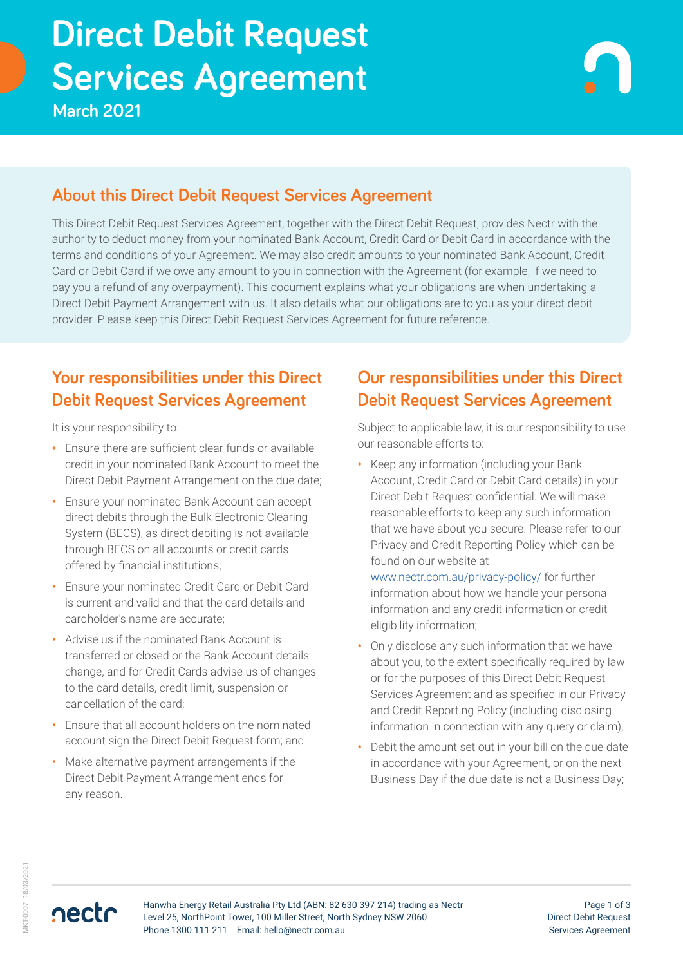# Services Agreement **Direct Debit Request**

**March 2021**

#### **About this Direct Debit Request Services Agreement**

This Direct Debit Request Services Agreement, together with the Direct Debit Request, provides Nectr with the authority to deduct money from your nominated Bank Account, Credit Card or Debit Card in accordance with the terms and conditions of your Agreement. We may also credit amounts to your nominated Bank Account, Credit Card or Debit Card if we owe any amount to you in connection with the Agreement (for example, if we need to pay you a refund of any overpayment). This document explains what your obligations are when undertaking a Direct Debit Payment Arrangement with us. It also details what our obligations are to you as your direct debit provider. Please keep this Direct Debit Request Services Agreement for future reference.

#### **Your responsibilities under this Direct Debit Request Services Agreement**

It is your responsibility to:

- **•** Ensure there are sufficient clear funds or available credit in your nominated Bank Account to meet the Direct Debit Payment Arrangement on the due date;
- **•** Ensure your nominated Bank Account can accept direct debits through the Bulk Electronic Clearing System (BECS), as direct debiting is not available through BECS on all accounts or credit cards offered by financial institutions;
- **•** Ensure your nominated Credit Card or Debit Card is current and valid and that the card details and cardholder's name are accurate;
- **•** Advise us if the nominated Bank Account is transferred or closed or the Bank Account details change, and for Credit Cards advise us of changes to the card details, credit limit, suspension or cancellation of the card;
- **•** Ensure that all account holders on the nominated account sign the Direct Debit Request form; and
- **•** Make alternative payment arrangements if the Direct Debit Payment Arrangement ends for any reason.

### **Our responsibilities under this Direct Debit Request Services Agreement**

Subject to applicable law, it is our responsibility to use our reasonable efforts to:

**•** Keep any information (including your Bank Account, Credit Card or Debit Card details) in your Direct Debit Request confidential. We will make reasonable efforts to keep any such information that we have about you secure. Please refer to our Privacy and Credit Reporting Policy which can be found on our website at

[www.nectr.com.au/](www.nectr.com.au/privacy-policy/)privacy-policy/ for further information about how we handle your personal information and any credit information or credit eligibility information;

- **•** Only disclose any such information that we have about you, to the extent specifically required by law or for the purposes of this Direct Debit Request Services Agreement and as specified in our Privacy and Credit Reporting Policy (including disclosing information in connection with any query or claim);
- **•** Debit the amount set out in your bill on the due date in accordance with your Agreement, or on the next Business Day if the due date is not a Business Day;

nectr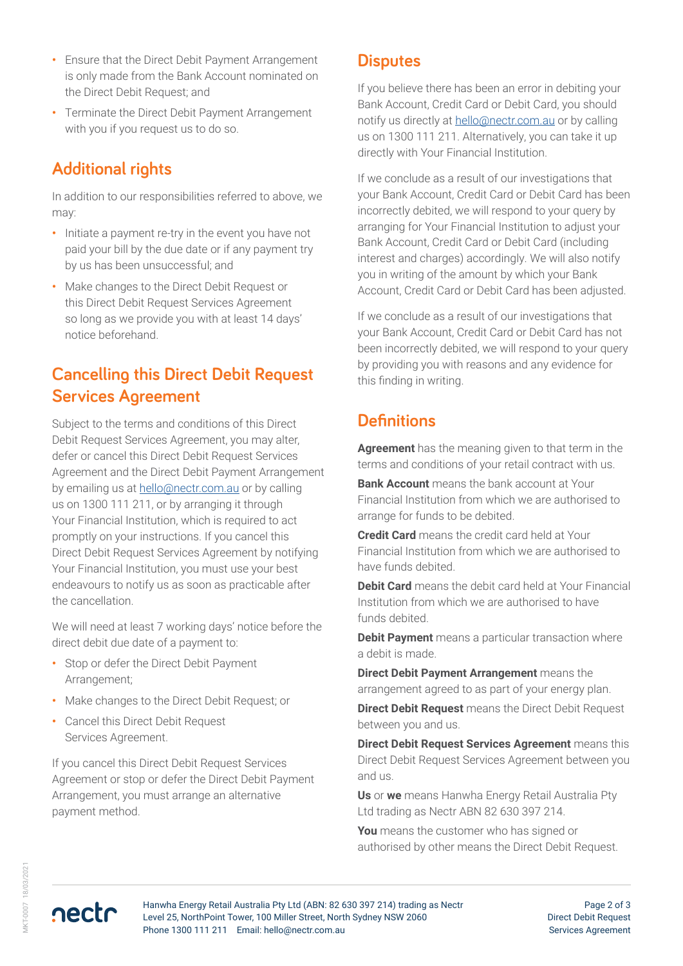- **•** Ensure that the Direct Debit Payment Arrangement is only made from the Bank Account nominated on the Direct Debit Request; and
- **•** Terminate the Direct Debit Payment Arrangement with you if you request us to do so.

#### **Additional rights**

In addition to our responsibilities referred to above, we may:

- **•** Initiate a payment re-try in the event you have not paid your bill by the due date or if any payment try by us has been unsuccessful; and
- **•** Make changes to the Direct Debit Request or this Direct Debit Request Services Agreement so long as we provide you with at least 14 days' notice beforehand.

## **Cancelling this Direct Debit Request Services Agreement**

Subject to the terms and conditions of this Direct Debit Request Services Agreement, you may alter, defer or cancel this Direct Debit Request Services Agreement and the Direct Debit Payment Arrangement by emailing us at [hello@nectr.com.au](mailto:hello%40nectr.com.au?subject=) or by calling us on 1300 111 211, or by arranging it through Your Financial Institution, which is required to act promptly on your instructions. If you cancel this Direct Debit Request Services Agreement by notifying Your Financial Institution, you must use your best endeavours to notify us as soon as practicable after the cancellation.

We will need at least 7 working days' notice before the direct debit due date of a payment to:

- **•** Stop or defer the Direct Debit Payment Arrangement;
- **•** Make changes to the Direct Debit Request; or
- **•** Cancel this Direct Debit Request Services Agreement.

If you cancel this Direct Debit Request Services Agreement or stop or defer the Direct Debit Payment Arrangement, you must arrange an alternative payment method.

#### **Disputes**

If you believe there has been an error in debiting your Bank Account, Credit Card or Debit Card, you should notify us directly at [hello@nectr.com.au](mailto:hello%40nectr.com.au?subject=) or by calling us on 1300 111 211. Alternatively, you can take it up directly with Your Financial Institution.

If we conclude as a result of our investigations that your Bank Account, Credit Card or Debit Card has been incorrectly debited, we will respond to your query by arranging for Your Financial Institution to adjust your Bank Account, Credit Card or Debit Card (including interest and charges) accordingly. We will also notify you in writing of the amount by which your Bank Account, Credit Card or Debit Card has been adjusted.

If we conclude as a result of our investigations that your Bank Account, Credit Card or Debit Card has not been incorrectly debited, we will respond to your query by providing you with reasons and any evidence for this finding in writing.

#### **Definitions**

**Agreement** has the meaning given to that term in the terms and conditions of your retail contract with us.

**Bank Account** means the bank account at Your Financial Institution from which we are authorised to arrange for funds to be debited.

**Credit Card** means the credit card held at Your Financial Institution from which we are authorised to have funds debited.

**Debit Card** means the debit card held at Your Financial Institution from which we are authorised to have funds debited.

**Debit Payment** means a particular transaction where a debit is made.

**Direct Debit Payment Arrangement** means the arrangement agreed to as part of your energy plan.

**Direct Debit Request** means the Direct Debit Request between you and us.

**Direct Debit Request Services Agreement** means this Direct Debit Request Services Agreement between you and us.

**Us** or **we** means Hanwha Energy Retail Australia Pty Ltd trading as Nectr ABN 82 630 397 214.

**You** means the customer who has signed or authorised by other means the Direct Debit Request.